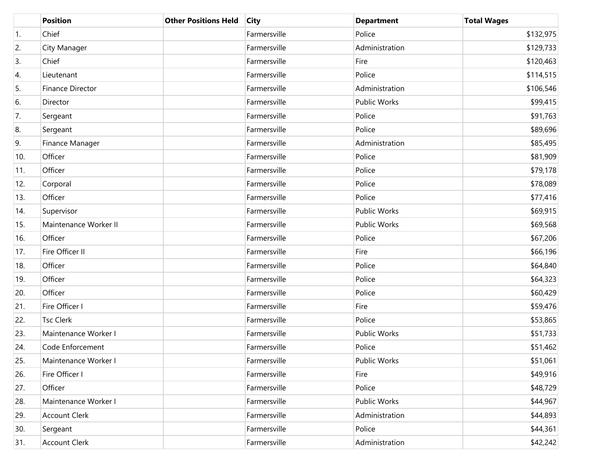|                  | <b>Position</b>         | <b>Other Positions Held</b> | <b>City</b>  | <b>Department</b>   | <b>Total Wages</b> |
|------------------|-------------------------|-----------------------------|--------------|---------------------|--------------------|
| $\overline{1}$ . | Chief                   |                             | Farmersville | Police              | \$132,975          |
| 2.               | City Manager            |                             | Farmersville | Administration      | \$129,733          |
| 3.               | Chief                   |                             | Farmersville | Fire                | \$120,463          |
| 4.               | Lieutenant              |                             | Farmersville | Police              | \$114,515          |
| 5.               | <b>Finance Director</b> |                             | Farmersville | Administration      | \$106,546          |
| 6.               | Director                |                             | Farmersville | <b>Public Works</b> | \$99,415           |
| 7.               | Sergeant                |                             | Farmersville | Police              | \$91,763           |
| 8.               | Sergeant                |                             | Farmersville | Police              | \$89,696           |
| 9.               | Finance Manager         |                             | Farmersville | Administration      | \$85,495           |
| 10.              | Officer                 |                             | Farmersville | Police              | \$81,909           |
| 11.              | Officer                 |                             | Farmersville | Police              | \$79,178           |
| 12.              | Corporal                |                             | Farmersville | Police              | \$78,089           |
| 13.              | Officer                 |                             | Farmersville | Police              | \$77,416           |
| 14.              | Supervisor              |                             | Farmersville | <b>Public Works</b> | \$69,915           |
| 15.              | Maintenance Worker II   |                             | Farmersville | Public Works        | \$69,568           |
| 16.              | Officer                 |                             | Farmersville | Police              | \$67,206           |
| 17.              | Fire Officer II         |                             | Farmersville | Fire                | \$66,196           |
| 18.              | Officer                 |                             | Farmersville | Police              | \$64,840           |
| 19.              | Officer                 |                             | Farmersville | Police              | \$64,323           |
| 20.              | Officer                 |                             | Farmersville | Police              | \$60,429           |
| 21.              | Fire Officer I          |                             | Farmersville | Fire                | \$59,476           |
| 22.              | <b>Tsc Clerk</b>        |                             | Farmersville | Police              | \$53,865           |
| 23.              | Maintenance Worker I    |                             | Farmersville | Public Works        | \$51,733           |
| 24.              | Code Enforcement        |                             | Farmersville | Police              | \$51,462           |
| 25.              | Maintenance Worker I    |                             | Farmersville | Public Works        | \$51,061           |
| 26.              | Fire Officer I          |                             | Farmersville | Fire                | \$49,916           |
| 27.              | Officer                 |                             | Farmersville | Police              | \$48,729           |
| 28.              | Maintenance Worker I    |                             | Farmersville | Public Works        | \$44,967           |
| 29.              | <b>Account Clerk</b>    |                             | Farmersville | Administration      | \$44,893           |
| 30.              | Sergeant                |                             | Farmersville | Police              | \$44,361           |
| 31.              | <b>Account Clerk</b>    |                             | Farmersville | Administration      | \$42,242           |